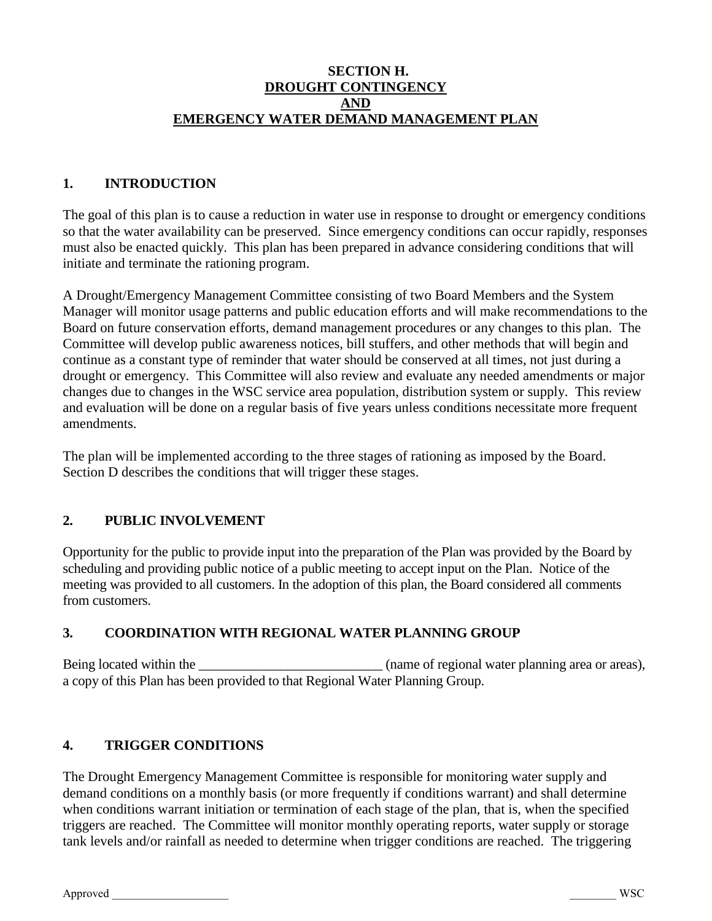#### **SECTION H. DROUGHT CONTINGENCY AND EMERGENCY WATER DEMAND MANAGEMENT PLAN**

# **1. INTRODUCTION**

The goal of this plan is to cause a reduction in water use in response to drought or emergency conditions so that the water availability can be preserved. Since emergency conditions can occur rapidly, responses must also be enacted quickly. This plan has been prepared in advance considering conditions that will initiate and terminate the rationing program.

A Drought/Emergency Management Committee consisting of two Board Members and the System Manager will monitor usage patterns and public education efforts and will make recommendations to the Board on future conservation efforts, demand management procedures or any changes to this plan. The Committee will develop public awareness notices, bill stuffers, and other methods that will begin and continue as a constant type of reminder that water should be conserved at all times, not just during a drought or emergency. This Committee will also review and evaluate any needed amendments or major changes due to changes in the WSC service area population, distribution system or supply. This review and evaluation will be done on a regular basis of five years unless conditions necessitate more frequent amendments.

The plan will be implemented according to the three stages of rationing as imposed by the Board. Section D describes the conditions that will trigger these stages.

#### **2. PUBLIC INVOLVEMENT**

Opportunity for the public to provide input into the preparation of the Plan was provided by the Board by scheduling and providing public notice of a public meeting to accept input on the Plan. Notice of the meeting was provided to all customers. In the adoption of this plan, the Board considered all comments from customers.

#### **3. COORDINATION WITH REGIONAL WATER PLANNING GROUP**

Being located within the service expression of regional water planning area or areas), a copy of this Plan has been provided to that Regional Water Planning Group.

#### **4. TRIGGER CONDITIONS**

The Drought Emergency Management Committee is responsible for monitoring water supply and demand conditions on a monthly basis (or more frequently if conditions warrant) and shall determine when conditions warrant initiation or termination of each stage of the plan, that is, when the specified triggers are reached. The Committee will monitor monthly operating reports, water supply or storage tank levels and/or rainfall as needed to determine when trigger conditions are reached. The triggering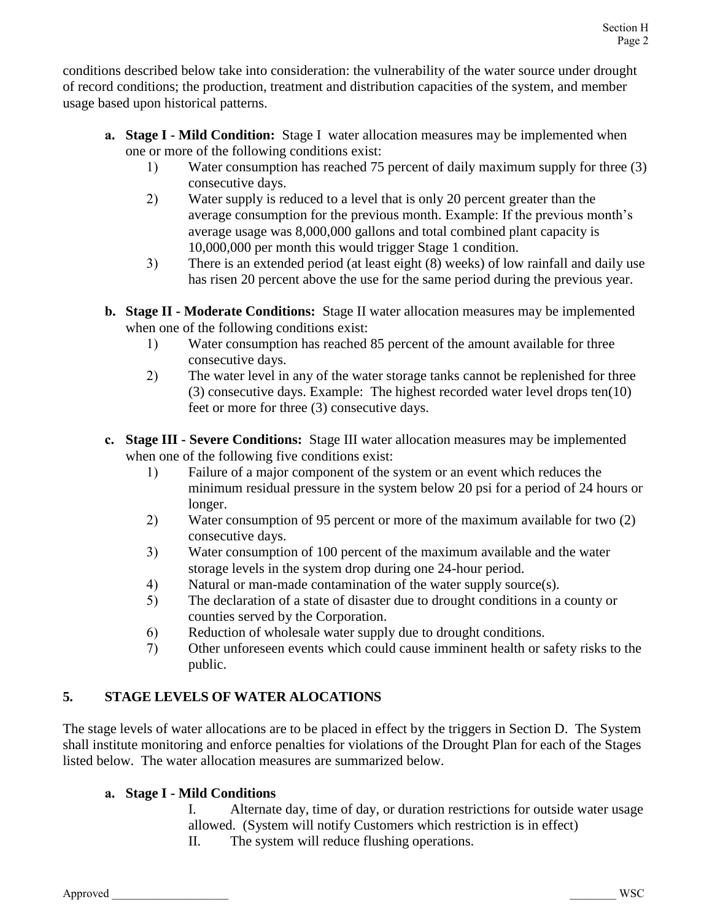conditions described below take into consideration: the vulnerability of the water source under drought of record conditions; the production, treatment and distribution capacities of the system, and member usage based upon historical patterns.

- **a. Stage I - Mild Condition:** Stage I water allocation measures may be implemented when one or more of the following conditions exist:
	- 1) Water consumption has reached 75 percent of daily maximum supply for three (3) consecutive days.
	- 2) Water supply is reduced to a level that is only 20 percent greater than the average consumption for the previous month. Example: If the previous month's average usage was 8,000,000 gallons and total combined plant capacity is 10,000,000 per month this would trigger Stage 1 condition.
	- 3) There is an extended period (at least eight (8) weeks) of low rainfall and daily use has risen 20 percent above the use for the same period during the previous year.
- **b. Stage II - Moderate Conditions:** Stage II water allocation measures may be implemented when one of the following conditions exist:
	- 1) Water consumption has reached 85 percent of the amount available for three consecutive days.
	- 2) The water level in any of the water storage tanks cannot be replenished for three (3) consecutive days. Example: The highest recorded water level drops ten(10) feet or more for three (3) consecutive days.
- **c. Stage III - Severe Conditions:** Stage III water allocation measures may be implemented when one of the following five conditions exist:
	- 1) Failure of a major component of the system or an event which reduces the minimum residual pressure in the system below 20 psi for a period of 24 hours or longer.
	- 2) Water consumption of 95 percent or more of the maximum available for two (2) consecutive days.
	- 3) Water consumption of 100 percent of the maximum available and the water storage levels in the system drop during one 24-hour period.
	- 4) Natural or man-made contamination of the water supply source(s).
	- 5) The declaration of a state of disaster due to drought conditions in a county or counties served by the Corporation.
	- 6) Reduction of wholesale water supply due to drought conditions.
	- 7) Other unforeseen events which could cause imminent health or safety risks to the public.

# **5. STAGE LEVELS OF WATER ALOCATIONS**

The stage levels of water allocations are to be placed in effect by the triggers in Section D. The System shall institute monitoring and enforce penalties for violations of the Drought Plan for each of the Stages listed below. The water allocation measures are summarized below.

# **a. Stage I - Mild Conditions**

- I. Alternate day, time of day, or duration restrictions for outside water usage allowed. (System will notify Customers which restriction is in effect)
- II. The system will reduce flushing operations.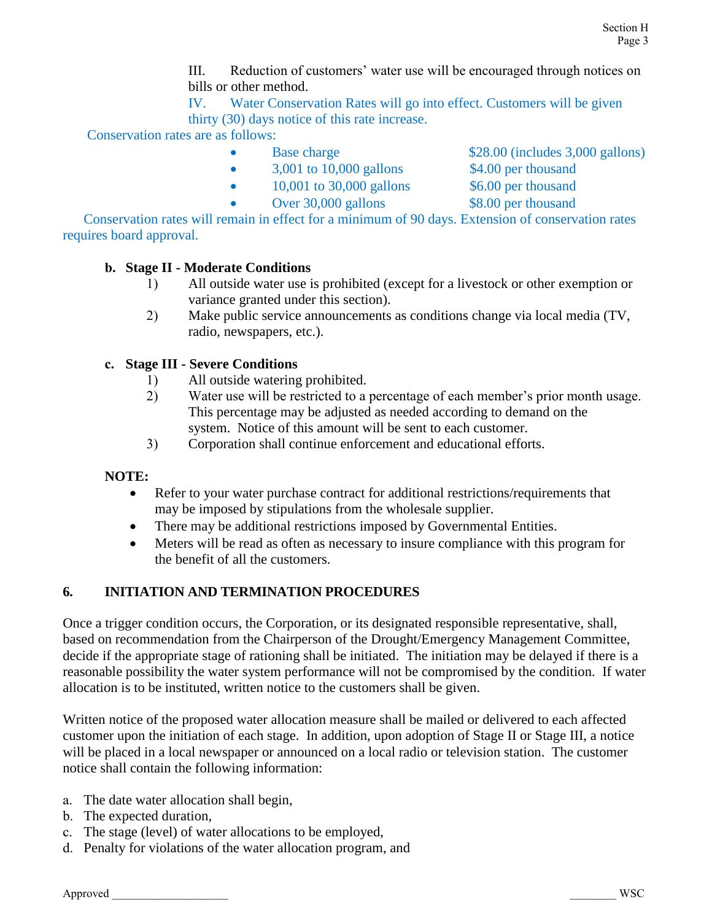III. Reduction of customers' water use will be encouraged through notices on bills or other method.

IV. Water Conservation Rates will go into effect. Customers will be given thirty (30) days notice of this rate increase.

Conservation rates are as follows:

- Base charge \$28.00 (includes 3,000 gallons)
- 3,001 to 10,000 gallons \$4.00 per thousand
- 
- $\bullet$  10,001 to 30,000 gallons \$6.00 per thousand
	-
- Over 30,000 gallons \$8.00 per thousand
	-

Conservation rates will remain in effect for a minimum of 90 days. Extension of conservation rates requires board approval.

# **b. Stage II - Moderate Conditions**

- 1) All outside water use is prohibited (except for a livestock or other exemption or variance granted under this section).
- 2) Make public service announcements as conditions change via local media (TV, radio, newspapers, etc.).

# **c. Stage III - Severe Conditions**

- 1) All outside watering prohibited.
- 2) Water use will be restricted to a percentage of each member's prior month usage. This percentage may be adjusted as needed according to demand on the system. Notice of this amount will be sent to each customer.
- 3) Corporation shall continue enforcement and educational efforts.

#### **NOTE:**

- Refer to your water purchase contract for additional restrictions/requirements that may be imposed by stipulations from the wholesale supplier.
- There may be additional restrictions imposed by Governmental Entities.
- Meters will be read as often as necessary to insure compliance with this program for the benefit of all the customers.

# **6. INITIATION AND TERMINATION PROCEDURES**

Once a trigger condition occurs, the Corporation, or its designated responsible representative, shall, based on recommendation from the Chairperson of the Drought/Emergency Management Committee, decide if the appropriate stage of rationing shall be initiated. The initiation may be delayed if there is a reasonable possibility the water system performance will not be compromised by the condition. If water allocation is to be instituted, written notice to the customers shall be given.

Written notice of the proposed water allocation measure shall be mailed or delivered to each affected customer upon the initiation of each stage. In addition, upon adoption of Stage II or Stage III, a notice will be placed in a local newspaper or announced on a local radio or television station. The customer notice shall contain the following information:

- a. The date water allocation shall begin,
- b. The expected duration,
- c. The stage (level) of water allocations to be employed,
- d. Penalty for violations of the water allocation program, and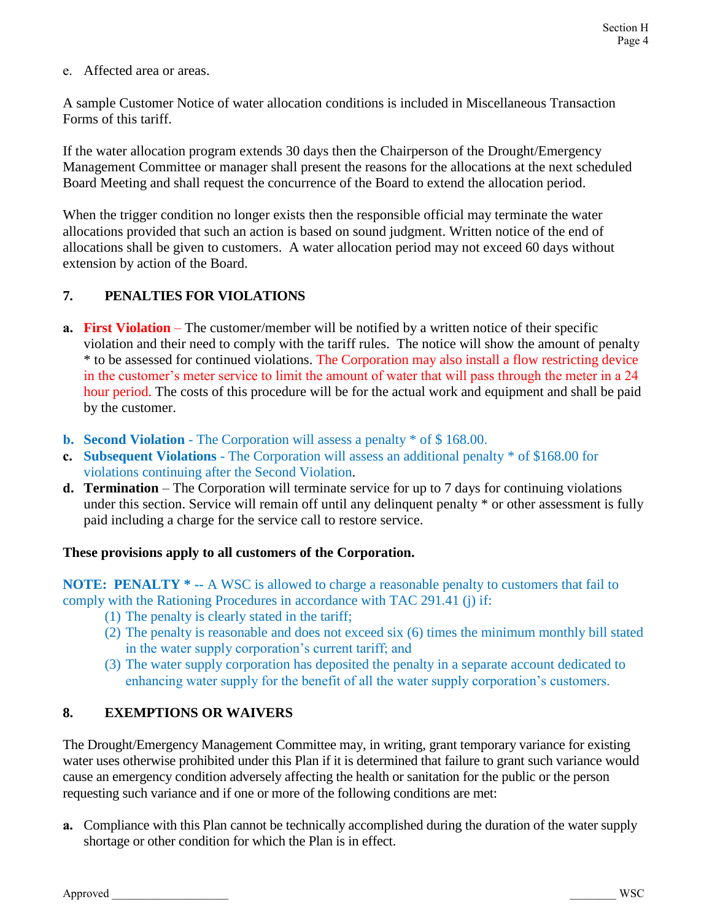e. Affected area or areas.

A sample Customer Notice of water allocation conditions is included in Miscellaneous Transaction Forms of this tariff.

If the water allocation program extends 30 days then the Chairperson of the Drought/Emergency Management Committee or manager shall present the reasons for the allocations at the next scheduled Board Meeting and shall request the concurrence of the Board to extend the allocation period.

When the trigger condition no longer exists then the responsible official may terminate the water allocations provided that such an action is based on sound judgment. Written notice of the end of allocations shall be given to customers. A water allocation period may not exceed 60 days without extension by action of the Board.

# **7. PENALTIES FOR VIOLATIONS**

- **a.** First Violation The customer/member will be notified by a written notice of their specific violation and their need to comply with the tariff rules. The notice will show the amount of penalty \* to be assessed for continued violations. The Corporation may also install a flow restricting device in the customer's meter service to limit the amount of water that will pass through the meter in a 24 hour period. The costs of this procedure will be for the actual work and equipment and shall be paid by the customer.
- **b. Second Violation** The Corporation will assess a penalty \* of \$ 168.00.
- **c. Subsequent Violations** The Corporation will assess an additional penalty \* of \$168.00 for violations continuing after the Second Violation.
- **d. Termination** The Corporation will terminate service for up to 7 days for continuing violations under this section. Service will remain off until any delinquent penalty \* or other assessment is fully paid including a charge for the service call to restore service.

#### **These provisions apply to all customers of the Corporation.**

**NOTE: PENALTY \* --** A WSC is allowed to charge a reasonable penalty to customers that fail to comply with the Rationing Procedures in accordance with TAC 291.41 (j) if:

- (1) The penalty is clearly stated in the tariff;
- (2) The penalty is reasonable and does not exceed six (6) times the minimum monthly bill stated in the water supply corporation's current tariff; and
- (3) The water supply corporation has deposited the penalty in a separate account dedicated to enhancing water supply for the benefit of all the water supply corporation's customers.

# **8. EXEMPTIONS OR WAIVERS**

The Drought/Emergency Management Committee may, in writing, grant temporary variance for existing water uses otherwise prohibited under this Plan if it is determined that failure to grant such variance would cause an emergency condition adversely affecting the health or sanitation for the public or the person requesting such variance and if one or more of the following conditions are met:

**a.** Compliance with this Plan cannot be technically accomplished during the duration of the water supply shortage or other condition for which the Plan is in effect.